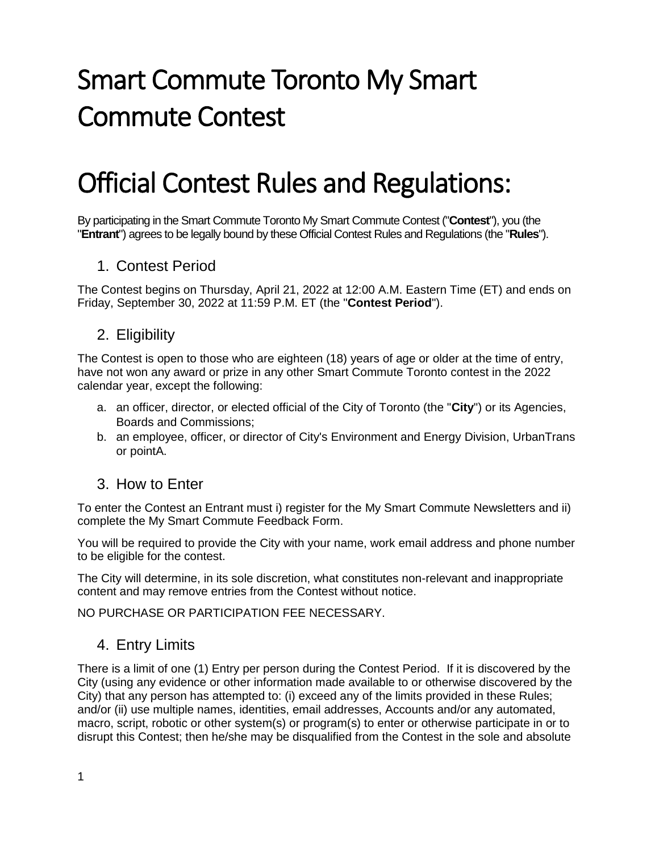# Smart Commute Toronto My Smart Commute Contest

## Official Contest Rules and Regulations:

By participating in the Smart Commute Toronto My Smart Commute Contest ("**Contest**"), you (the "**Entrant**") agrees to be legally bound by these Official Contest Rules and Regulations (the "**Rules**").

#### 1. Contest Period

The Contest begins on Thursday, April 21, 2022 at 12:00 A.M. Eastern Time (ET) and ends on Friday, September 30, 2022 at 11:59 P.M. ET (the "**Contest Period**").

#### 2. Eligibility

The Contest is open to those who are eighteen (18) years of age or older at the time of entry, have not won any award or prize in any other Smart Commute Toronto contest in the 2022 calendar year, except the following:

- a. an officer, director, or elected official of the City of Toronto (the "**City**") or its Agencies, Boards and Commissions;
- b. an employee, officer, or director of City's Environment and Energy Division, UrbanTrans or pointA.

#### 3. How to Enter

To enter the Contest an Entrant must i) register for the My Smart Commute Newsletters and ii) complete the My Smart Commute Feedback Form.

You will be required to provide the City with your name, work email address and phone number to be eligible for the contest.

The City will determine, in its sole discretion, what constitutes non-relevant and inappropriate content and may remove entries from the Contest without notice.

NO PURCHASE OR PARTICIPATION FEE NECESSARY.

#### 4. Entry Limits

There is a limit of one (1) Entry per person during the Contest Period. If it is discovered by the City (using any evidence or other information made available to or otherwise discovered by the City) that any person has attempted to: (i) exceed any of the limits provided in these Rules; and/or (ii) use multiple names, identities, email addresses, Accounts and/or any automated, macro, script, robotic or other system(s) or program(s) to enter or otherwise participate in or to disrupt this Contest; then he/she may be disqualified from the Contest in the sole and absolute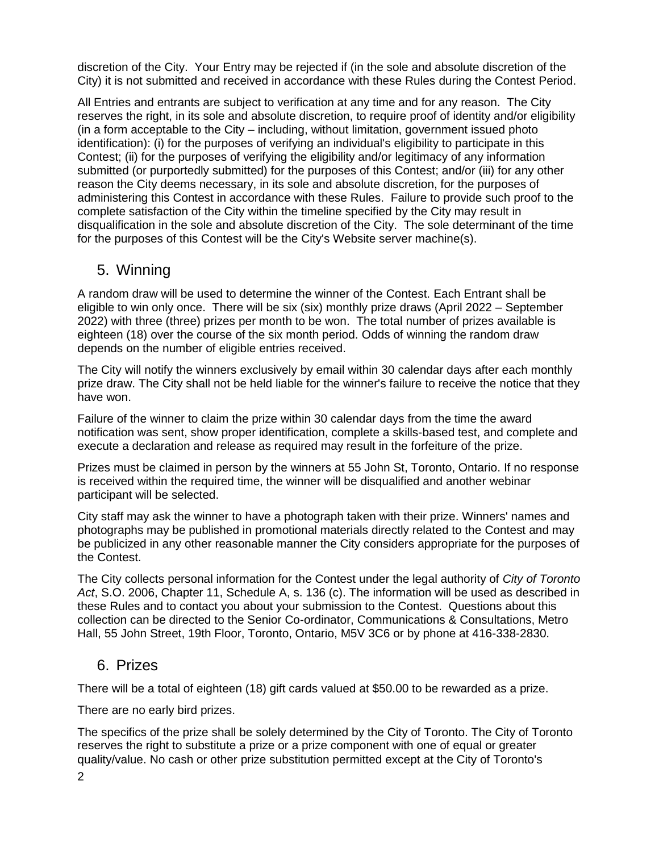discretion of the City. Your Entry may be rejected if (in the sole and absolute discretion of the City) it is not submitted and received in accordance with these Rules during the Contest Period.

All Entries and entrants are subject to verification at any time and for any reason. The City reserves the right, in its sole and absolute discretion, to require proof of identity and/or eligibility (in a form acceptable to the City – including, without limitation, government issued photo identification): (i) for the purposes of verifying an individual's eligibility to participate in this Contest; (ii) for the purposes of verifying the eligibility and/or legitimacy of any information submitted (or purportedly submitted) for the purposes of this Contest; and/or (iii) for any other reason the City deems necessary, in its sole and absolute discretion, for the purposes of administering this Contest in accordance with these Rules. Failure to provide such proof to the complete satisfaction of the City within the timeline specified by the City may result in disqualification in the sole and absolute discretion of the City. The sole determinant of the time for the purposes of this Contest will be the City's Website server machine(s).

#### 5. Winning

A random draw will be used to determine the winner of the Contest. Each Entrant shall be eligible to win only once. There will be six (six) monthly prize draws (April 2022 – September 2022) with three (three) prizes per month to be won. The total number of prizes available is eighteen (18) over the course of the six month period. Odds of winning the random draw depends on the number of eligible entries received.

The City will notify the winners exclusively by email within 30 calendar days after each monthly prize draw. The City shall not be held liable for the winner's failure to receive the notice that they have won.

Failure of the winner to claim the prize within 30 calendar days from the time the award notification was sent, show proper identification, complete a skills-based test, and complete and execute a declaration and release as required may result in the forfeiture of the prize.

Prizes must be claimed in person by the winners at 55 John St, Toronto, Ontario. If no response is received within the required time, the winner will be disqualified and another webinar participant will be selected.

City staff may ask the winner to have a photograph taken with their prize. Winners' names and photographs may be published in promotional materials directly related to the Contest and may be publicized in any other reasonable manner the City considers appropriate for the purposes of the Contest.

The City collects personal information for the Contest under the legal authority of *City of Toronto Act*, S.O. 2006, Chapter 11, Schedule A, s. 136 (c). The information will be used as described in these Rules and to contact you about your submission to the Contest. Questions about this collection can be directed to the Senior Co-ordinator, Communications & Consultations, Metro Hall, 55 John Street, 19th Floor, Toronto, Ontario, M5V 3C6 or by phone at 416-338-2830.

#### 6. Prizes

There will be a total of eighteen (18) gift cards valued at \$50.00 to be rewarded as a prize.

There are no early bird prizes.

The specifics of the prize shall be solely determined by the City of Toronto. The City of Toronto reserves the right to substitute a prize or a prize component with one of equal or greater quality/value. No cash or other prize substitution permitted except at the City of Toronto's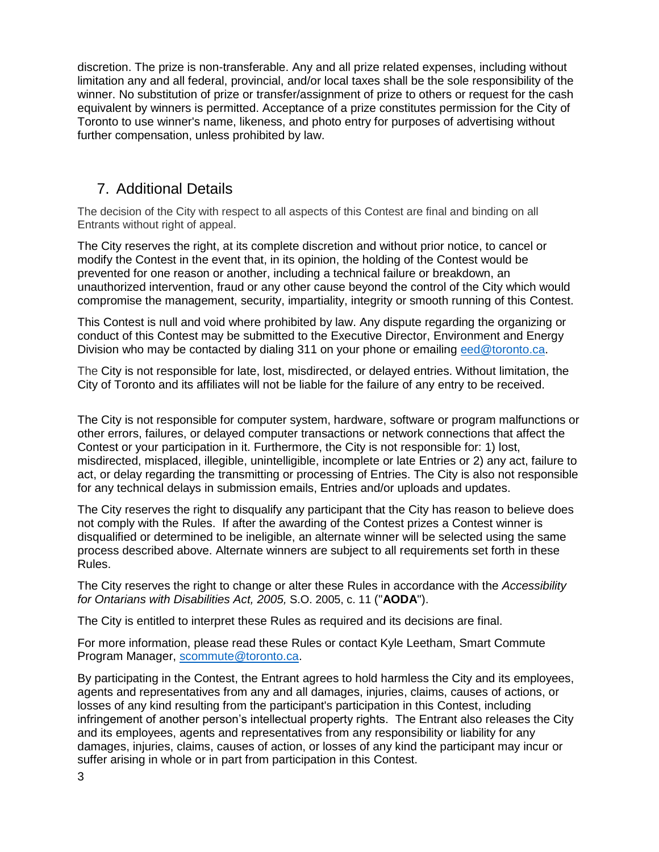discretion. The prize is non-transferable. Any and all prize related expenses, including without limitation any and all federal, provincial, and/or local taxes shall be the sole responsibility of the winner. No substitution of prize or transfer/assignment of prize to others or request for the cash equivalent by winners is permitted. Acceptance of a prize constitutes permission for the City of Toronto to use winner's name, likeness, and photo entry for purposes of advertising without further compensation, unless prohibited by law.

### 7. Additional Details

The decision of the City with respect to all aspects of this Contest are final and binding on all Entrants without right of appeal.

The City reserves the right, at its complete discretion and without prior notice, to cancel or modify the Contest in the event that, in its opinion, the holding of the Contest would be prevented for one reason or another, including a technical failure or breakdown, an unauthorized intervention, fraud or any other cause beyond the control of the City which would compromise the management, security, impartiality, integrity or smooth running of this Contest.

This Contest is null and void where prohibited by law. Any dispute regarding the organizing or conduct of this Contest may be submitted to the Executive Director, Environment and Energy Division who may be contacted by dialing 311 on your phone or emailing [eed@toronto.ca.](mailto:eed@toronto.ca)

The City is not responsible for late, lost, misdirected, or delayed entries. Without limitation, the City of Toronto and its affiliates will not be liable for the failure of any entry to be received.

The City is not responsible for computer system, hardware, software or program malfunctions or other errors, failures, or delayed computer transactions or network connections that affect the Contest or your participation in it. Furthermore, the City is not responsible for: 1) lost, misdirected, misplaced, illegible, unintelligible, incomplete or late Entries or 2) any act, failure to act, or delay regarding the transmitting or processing of Entries. The City is also not responsible for any technical delays in submission emails, Entries and/or uploads and updates.

The City reserves the right to disqualify any participant that the City has reason to believe does not comply with the Rules. If after the awarding of the Contest prizes a Contest winner is disqualified or determined to be ineligible, an alternate winner will be selected using the same process described above. Alternate winners are subject to all requirements set forth in these Rules.

The City reserves the right to change or alter these Rules in accordance with the *Accessibility for Ontarians with Disabilities Act, 2005,* S.O. 2005, c. 11 ("**AODA**").

The City is entitled to interpret these Rules as required and its decisions are final.

For more information, please read these Rules or contact Kyle Leetham, Smart Commute Program Manager, [scommute@toronto.ca.](mailto:scommute@toronto.ca)

By participating in the Contest, the Entrant agrees to hold harmless the City and its employees, agents and representatives from any and all damages, injuries, claims, causes of actions, or losses of any kind resulting from the participant's participation in this Contest, including infringement of another person's intellectual property rights. The Entrant also releases the City and its employees, agents and representatives from any responsibility or liability for any damages, injuries, claims, causes of action, or losses of any kind the participant may incur or suffer arising in whole or in part from participation in this Contest.